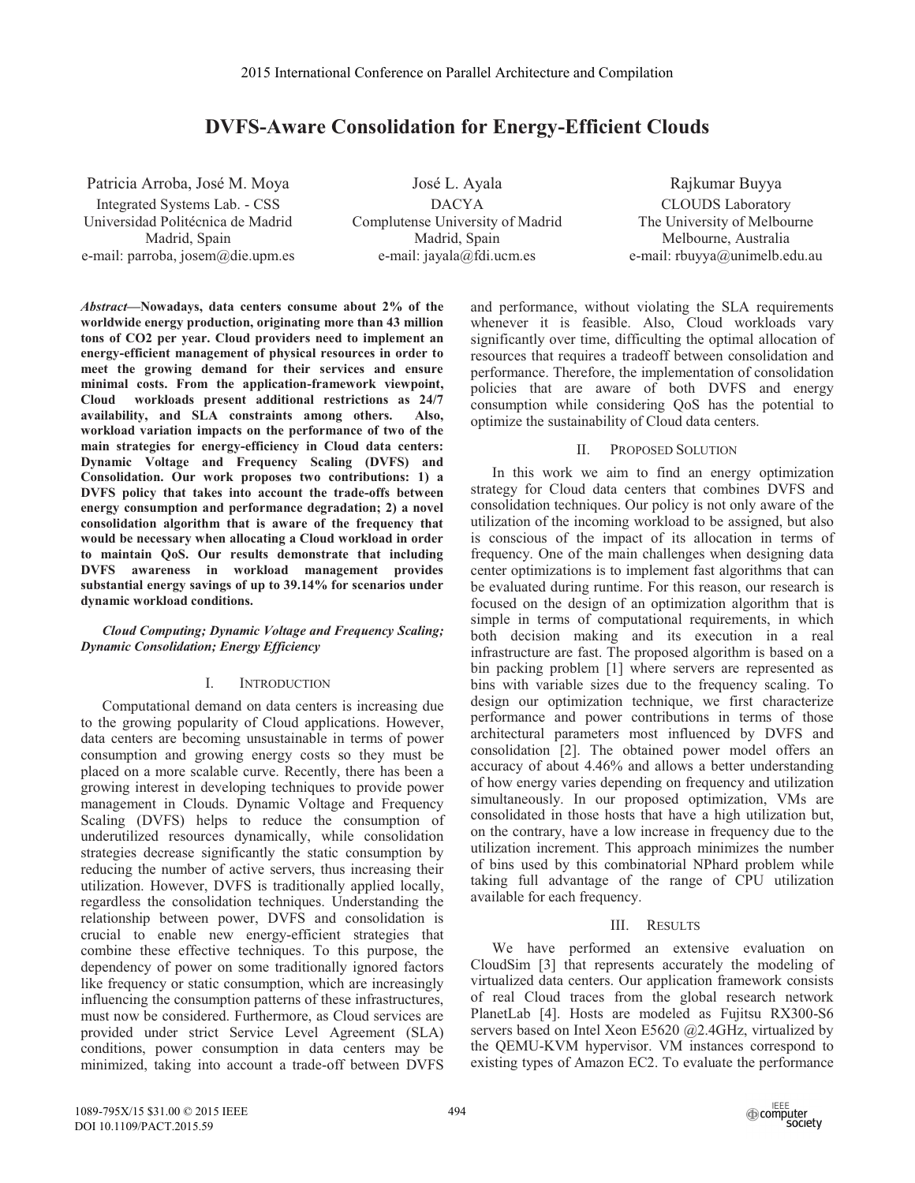# **DVFS-Aware Consolidation for Energy-Efficient Clouds**

Patricia Arroba, José M. Moya Integrated Systems Lab. - CSS Universidad Politécnica de Madrid Madrid, Spain e-mail: parroba, josem@die.upm.es

José L. Ayala DACYA Complutense University of Madrid Madrid, Spain e-mail: jayala@fdi.ucm.es

Rajkumar Buyya CLOUDS Laboratory The University of Melbourne Melbourne, Australia e-mail: rbuyya@unimelb.edu.au

*Abstract***—Nowadays, data centers consume about 2% of the worldwide energy production, originating more than 43 million tons of CO2 per year. Cloud providers need to implement an energy-efficient management of physical resources in order to meet the growing demand for their services and ensure minimal costs. From the application-framework viewpoint, Cloud workloads present additional restrictions as 24/7 availability, and SLA constraints among others. Also, workload variation impacts on the performance of two of the main strategies for energy-efficiency in Cloud data centers: Dynamic Voltage and Frequency Scaling (DVFS) and Consolidation. Our work proposes two contributions: 1) a DVFS policy that takes into account the trade-offs between energy consumption and performance degradation; 2) a novel consolidation algorithm that is aware of the frequency that would be necessary when allocating a Cloud workload in order to maintain QoS. Our results demonstrate that including DVFS awareness in workload management provides substantial energy savings of up to 39.14% for scenarios under dynamic workload conditions.** 

*Cloud Computing; Dynamic Voltage and Frequency Scaling; Dynamic Consolidation; Energy Efficiency* 

## I. INTRODUCTION

Computational demand on data centers is increasing due to the growing popularity of Cloud applications. However, data centers are becoming unsustainable in terms of power consumption and growing energy costs so they must be placed on a more scalable curve. Recently, there has been a growing interest in developing techniques to provide power management in Clouds. Dynamic Voltage and Frequency Scaling (DVFS) helps to reduce the consumption of underutilized resources dynamically, while consolidation strategies decrease significantly the static consumption by reducing the number of active servers, thus increasing their utilization. However, DVFS is traditionally applied locally, regardless the consolidation techniques. Understanding the relationship between power, DVFS and consolidation is crucial to enable new energy-efficient strategies that combine these effective techniques. To this purpose, the dependency of power on some traditionally ignored factors like frequency or static consumption, which are increasingly influencing the consumption patterns of these infrastructures, must now be considered. Furthermore, as Cloud services are provided under strict Service Level Agreement (SLA) conditions, power consumption in data centers may be minimized, taking into account a trade-off between DVFS

and performance, without violating the SLA requirements whenever it is feasible. Also, Cloud workloads vary significantly over time, difficulting the optimal allocation of resources that requires a tradeoff between consolidation and performance. Therefore, the implementation of consolidation policies that are aware of both DVFS and energy consumption while considering QoS has the potential to optimize the sustainability of Cloud data centers.

## II. PROPOSED SOLUTION

In this work we aim to find an energy optimization strategy for Cloud data centers that combines DVFS and consolidation techniques. Our policy is not only aware of the utilization of the incoming workload to be assigned, but also is conscious of the impact of its allocation in terms of frequency. One of the main challenges when designing data center optimizations is to implement fast algorithms that can be evaluated during runtime. For this reason, our research is focused on the design of an optimization algorithm that is simple in terms of computational requirements, in which both decision making and its execution in a real infrastructure are fast. The proposed algorithm is based on a bin packing problem [1] where servers are represented as bins with variable sizes due to the frequency scaling. To design our optimization technique, we first characterize performance and power contributions in terms of those architectural parameters most influenced by DVFS and consolidation [2]. The obtained power model offers an accuracy of about 4.46% and allows a better understanding of how energy varies depending on frequency and utilization simultaneously. In our proposed optimization, VMs are consolidated in those hosts that have a high utilization but, on the contrary, have a low increase in frequency due to the utilization increment. This approach minimizes the number of bins used by this combinatorial NPhard problem while taking full advantage of the range of CPU utilization available for each frequency.

## III. RESULTS

We have performed an extensive evaluation on CloudSim [3] that represents accurately the modeling of virtualized data centers. Our application framework consists of real Cloud traces from the global research network PlanetLab [4]. Hosts are modeled as Fujitsu RX300-S6 servers based on Intel Xeon E5620 @2.4GHz, virtualized by the QEMU-KVM hypervisor. VM instances correspond to existing types of Amazon EC2. To evaluate the performance